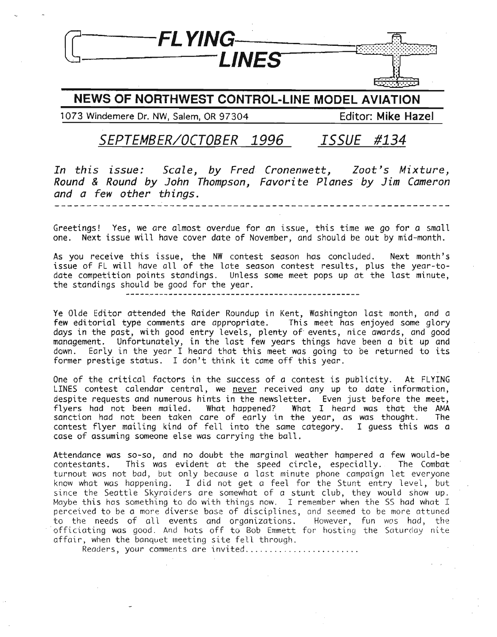

### NEWS OF NORTHWEST CONTROL-LINE MODEL AVIATION

1073 Windemere Dr. NW, Salem, OR 97304 Editor: Mike Hazel

### *SEPTEMBER/OCTOBER 1996 ISSUE #134*

In this issue: Scale, *by* Fred Cronenwett, Zoot's Mixture, Round & Round *by* John Thompson, Favorite Planes *by* Jim Cameron and a few other things.

Greetings! Yes, we are almost overdue for an issue, this time we go for a small one. Next issue will have cover date of November, and should be out by mid-month.

As you receive this issue, the NW contest season has concluded. Next month's issue of FL will have all of the late season contest results, plus the year-todate competition points standings. Unless some meet pops up at the last minute, the standings should be good for the year.

Ye Olde Editor attended the Raider Roundup in Kent, Washington last month, and a few editorial type comments are appropriate. This meet has enjoyed some glory days in the past, with good entry levels, plenty of- events, nice awards, and good management. Unfortunately, in the last few years things have been a bit up and down. Early in the year I heard that this meet was going to be returned to its former prestige status. <sup>I</sup> don't think it came off this year.

One of the critical factors in the success of a contest is publicity. At FLYING LINES contest calendar central, we never received any up to date information, despite requests and numerous hints in the newsletter. Even just before the meet, flyers had not been mailed. What happened? What I heard was that the AMA sanction had not been taken care of early in the year, as was thought. The contest flyer mailing kind of fell into the same category. I guess this was a case of assuming someone else was carrying the ball.

Attendance was so-so, and no doubt the marginal weather hampered a few would-be contestants. This was evident at the speed circle, especially. The Combat turnout was not bad, but only because a last minute phone campaign let everyone know what was happening. I did not get a feel for the Stunt entry level, but since the Seattle Skyraiders are somewhat of *a* stunt club, they would show up. Maybe this has something to do with things now. I remember when the SS had what I perceived to be a more diverse base of disciplines, and seemed to be more attuned to the needs of all events and organizations. However, fun was had, the officiating was good. And hats off to Bob Emmett for hosting the Saturday nite affair, when the banquet meeting site fell through.

Readers, your comments are invited .........................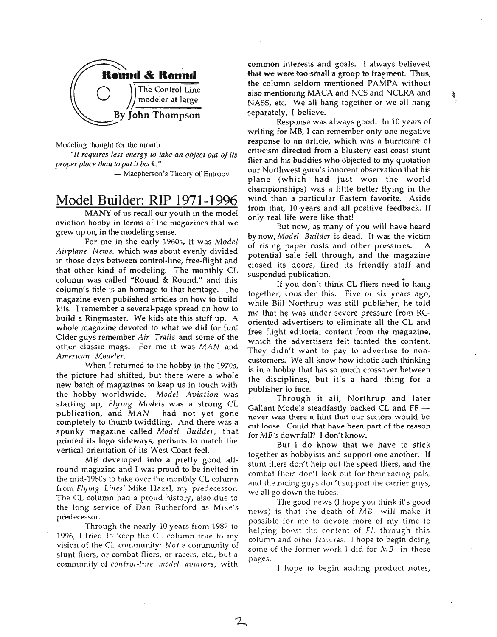

Modeling thought for the month:

"/l *requires less energy to take an object out of its proper place than to put it back. "*

- Macpherson's Theory of Entropy

### Model Builder: RIP 1971-1996

MANY of us recall our youth in the model aviation hobby in terms of the magazines that we grew up on, in the modeling sense.

For me in the early 1960s, it was *Model Airplane News,* which was about evenly divided in those days between control-line, free-flight and that other kind of modeling. The monthly CL column was called "Round & Round," and this column's title is an homage to that heritage. The magazine even published articles on how to build kits. I remember a several-page spread on how to build a Ringmaster. We kids ate this stuff up. A whole magazine devoted to what we did for fun! Older guys remember *Air Trails* and some of the other classic mags. For me it was *MAN* and *American Modeler.*

When I returned to the hobby in the 1970s, the picture had shifted, but there were a whole new batch of magazines to keep us in touch with the hobby worldwide. *Model Aviation* was starting up, *Flying Models* was a strong CL publication, and *MAN* had not yet gone completely to thumb twiddling. And there was a spunky magazine called *Model Budder,* that printed its logo sideways, perhaps to match the vertical orientation of its West Coast feel.

MB developed into a pretty good allround magazine and I was proud to be invited in the mid-1980s to take over the monthly CL column from *Flying Lines'* Mike Hazel, my predecessor. The CL column had a proud history, also due to the long service of Dan Rutherford as Mike's predecessor.

Through the nearly 10 years from 1987 to 1996, I tried to keep the CL column true to my vision of the CL community: *Not* a community of stunt fliers, or combat fliers, or racers, etc., but a community of *control-line model aviators,* with

2

common interests and goals. I always believed that we were too small a group to fragment. Thus, the column seldom mentioned PAMPA without also mentioning MACA and NCS and NCLRA and NASS, etc. We all hang together or we all hang separately, I believe.

**BEE** 

Response was always good. In 10 years of writing for  $MB$ , I can remember only one negative response to an article, which was a hurricane of criticism directed from a blustery east coast stunt flier and his buddies who objected to my quotation our Northwest guru's innocent observation that his plane (which had just won the world championships) was a little better flying in the wind than a particular Eastern favorite. Aside from that, 10 years and all positive feedback. If only real life were like that!

But now, as many of you will have heard by now, *Model Builder* is dead. It was the victim of rising paper costs and other pressures. A potential sale fell through, and the magazine closed its doors, fired its friendly staff and suspended publication.

If you don't think CL fliers need to hang together, consider this: Five or six years ago, while Bill Northrup was still publisher, he told me that he was under severe pressure from RCoriented advertisers to eliminate all the CL and free flight editorial content from the magazine, which the advertisers felt tainted the content. They didn't want to pay to advertise to noncustomers. We all know how idiotic such thinking is in a hobby that has so much crossover between the disciplines, but it's a hard thing for a publisher to face.

Through it all, Northrup and later Gallant Models steadfastly backed CL and  $FF$ never was there a hint that our sectors would be cut loose. Could that have been part of the reason for *MB's* downfall? I don't know.

But I do know that we have to stick together as hobbyists and support one another. If stunt fliers don't help out the speed fliers, and the combat fliers don't look out for their racing pals, and the racing guys don't support the carrier guys, we all go down the tubes.

The good news (I hope you think it's good news) is that the death of *MB* will make it possible for me to devote more of my time to helping boost the content of *FL* through this column and other features. I hope to begin doing some of the former work J did for *MB* in these pages.

J hope to begin adding product notes,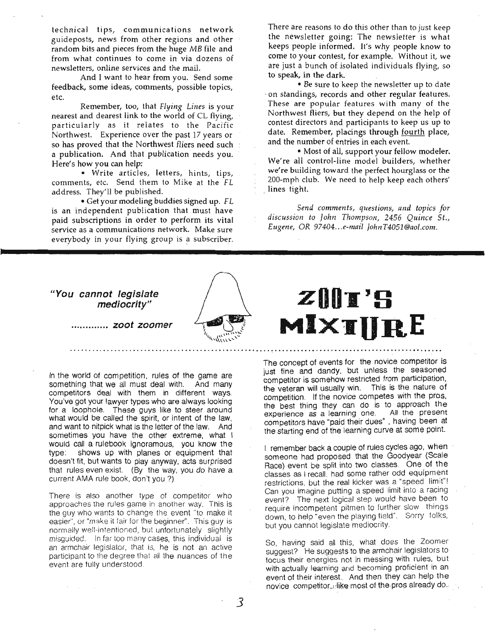technical tips, communications network guideposts, news from other regions and other random bits and pieces from the huge *MB* file and from what continues to come in via dozens of newsletters, online services and the mail.

And I want to hear from you. Send some feedback, some ideas, comments, possible topics, etc.

Remember, too, that *Flying Lines* is your nearest and dearest link to the world of CL flying, particularly as it relates to the Pacific Northwest. Experience over the past 17 years or so has proved that the Northwest fliers need such a publication. And that publication needs you. Here's how you can help:

• Write articles, letters, hints, tips, comments, etc. Send them to Mike at the FL address. They'll be published.

. . • Get your modeling buddies signed up. *F*L is an independent publication that must have paid subscriptions in order to perform its vital service as a communications network. Make sure everybody in your flying group is a subscriber.

There are reasons to do this other than to just keep the newsletter going: The newsletter is what keeps people informed. It's why people know to come to your contest, for example. Without it, we are just a bunch of isolated individuals flying, so to speak, in the dark.

• Be sure to keep the newsletter up to date -on standings, records and other regular features. These are popular features with many of the Northwest fliers, but they depend on the help of contest directors and participants to keep us up to date. Remember, placings through fourth place, and the number of entries in each event.

• Most of all, support your fellow modeler. We're all control-line model builders, whether we're building toward the perfect hourglass or the 200-mph club. We need to help keep each others' lines tight.

 $Send$  *comments, questions, and topics for dISCUSSIOn to John Thompson,* 2456 *Quince St., Eugene,* OR *97404...e-mail JohnT4051@aol.com.*

#### **UYou cannot legislate mediocrity"**



. *zoot zoomer*

In the world of competition, rules of the game are something that we all must deal with. And many competitors deal with them in different ways. You've got your lawyer types who are always looking for a loophole. These guys like to steer around what would be called the spirit, or intent of the law. and want to nitpick what is the letter of the law. And sometimes you have the other extreme, what I would call a rulebook ignoramous, you know the type: shows up with planes or equipment that doesn't fit, but wants to play anyway, acts surprised that rules even exist. (By the way, you do have a current AMA rule book, don't you ?)

There is also another type of competitor who approaches the rules game in another way. This is the guy who wants to change the event "to make it easier", or "make it fair for the beginner". This guy is normally well-intentioned, but unfortunately slightly misguided. In far too many cases, this individual is an armchair legislator, that is, he is not an active participant to the degree that all the nuances of the event are fully understood.

# **ZUDI'S MlxIURE**

The concept of events for the novice competitor is just fine and dandy, but unless the seasoned competitor is somehow restricted from participation, the veteran will usually win. This is the nature of competition. If the novice competes with the pros, the best thing they can do is to approach the experience as a learning one. All the present competitors have "paid their dues" , having been at the starting end of the learning curve at some point.

1 remember back a couple of rules cycles ago, when someone had proposed that the Goodyear (Scale Race) event be split into two classes. One of the classes as I recall. had some rather odd equipment restrictions, but the real kicker was a "speed limit"! Can you imagine putting a speed limit into a racing event? The next logical step would have been to require incompetent pitmen to further slow things down, to help "even the playing field". Sorry folks, but you cannot legislate mediocrity.

So, having said all this, what does the Zoomer suggest? He suggests to the armchair legislators to focus their energies not in messing with rules, but with actually learning and becoming proficient in an event of their interest. And then they can help the novice competitor, like most of the pros already do.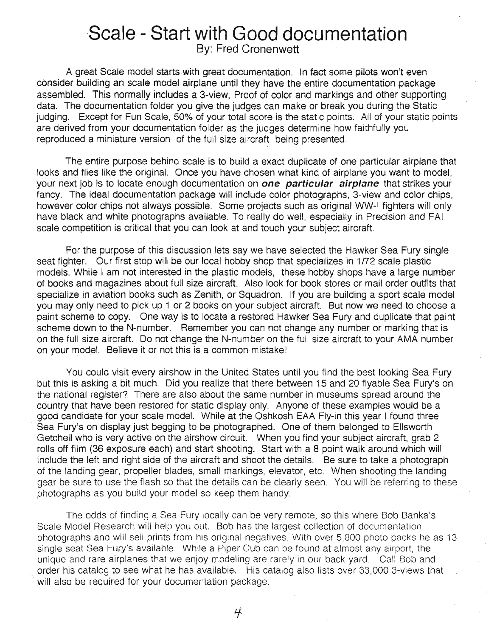# **·Scale - Start with Good documentation**

By: Fred Cronenwett

A great Scale model starts with great documentation. In fact some pilots won't even consider building an scale. model airplane until they have the entire documentation package assembled. This normally includes a 3-view, Proof of color and markings and other supporting data. The documentation folder you give the judges can make or break you during the Static judging. Except for Fun Scale, 50% of your total score is the static points. All of your static points are derived from your documentation folder as the judges determine how faithfully you reproduced a miniature version of the full size aircraft being presented.

The entire purpose behind scale is to build a exact duplicate of one particular airplane that looks and flies like the original. Once you have chosen what kind of airplane you want to model, your next job is to locate enough documentation on **one particular airplane** that strikes your fancy. The ideal documentation package will include color photographs, 3-view and color chips, however color chips not always possible. Some projects such as original WW-I fighters will only have black and white photographs available. To really do well, especially in Precision and FAI scale competition is critical that you can look at and touch your subject aircraft.

For the purpose of this discussion lets say we have selected the Hawker Sea Fury single seat fighter. Our first stop will be our local hobby shop that specializes in 1/72 scale plastic models. While I am not interested in the plastic models, these hobby shops have a large number of books and magazines about full size aircraft. Also look for book stores or mail order outfits that specialize in aviation books such as Zenith, or Squadron. If you are building a sport scale model you may only need to pick up 1 or 2 books on your subject aircraft. But now we need to choose a paint scheme to copy. One way is to locate a restored Hawker Sea Fury and duplicate that paint scheme down to the N-number. Remember you can not change any number or marking that is on the full size aircraft. Do not change the N-number on the full size aircraft to your AMA number on your model. Believe it or not this is a common mistake!

You could visit every airshow in the United States until you find the best looking Sea Fury but this is asking a bit much. Did you realize that there between 15 and 20 flyable Sea Fury's on the national register? There are atso about the same number in museums spread around the country that have been restored for static display only. Anyone of these examples would be a good candidate for your scale model. While at the Oshkosh EAA Fly-in this year I found three Sea Fury's on display just begging to be photographed. One of them belonged to Ellsworth Getchell who is very active on the airshow circuit. When you find your subject aircraft, grab 2 rolls off film (36 exposure each) and start shooting. Start with a 8 point walk around which will include the left and right side of the aircraft and shoot the details. Be sure to take a photograph of the landing gear, propeller blades, small markings, elevator, etc. When shooting the landing gear be sure to use the flash so that the details can be clearly seen. You will be referring to these photographs as you build your model so keep them handy.

The odds of finding a Sea Fury locally can be very remote, so this where Bob Banka's Scale Model Research will help you out. Bob has the largest collection of documentation photographs and will sell prints from his original negatives. With over 5,800 photo packs he as 13 single seat Sea Fury's available. While a Piper Cub can be found at almost any airport, the unique and rare airplanes that we enjoy modeling are rarely in our back yard. Cal! Bob and order his catalog to see what he has available. His catalog also lists over 33,000 3-views that will also be required for your documentation package.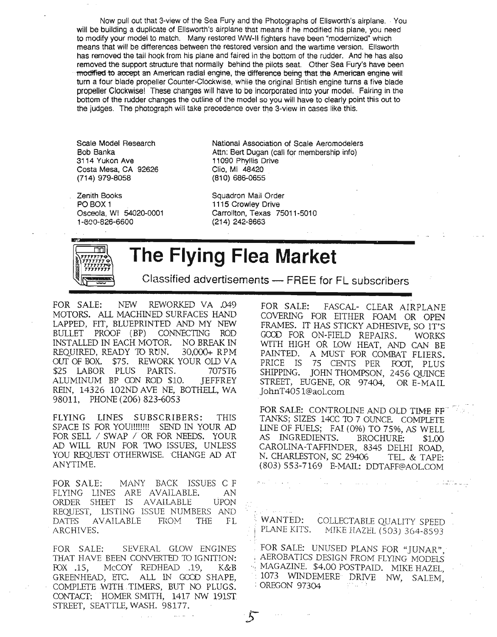Now pull out that 3-view of the Sea Fury and the Photographs of Ellsworth's airplane. ' You will be building a duplicate of Ellsworth's airplane that means if he modified his plane, you need to modify your model to match. Many restored WW-II fighters have been "modernized" which means that will be differences between the restored version and the wartime version. Ellsworth has removed the tail hook from his plane and faired in the bottom of the rUdder. And he has also removed the support structure that normally behind the pilots seat. Other Sea Fury's have been ·modifted to accept an American radial engine, the difference being that the American engine will turn a four blade propeller Counter-Clockwise, while the original British engine turns a five blade propeller Clockwise! These changes will have to be incorporated into your model. Fairing in the bottom of the rudder changes the outline of the model so you will have to clearly point this out to the judges. The photograph will take precedence over the 3-view in cases like this.

Scale Model Research Bob Banka 3114 Yukon Ave Costa Mesa, CA 92626 (714) 979-8058

Zenith Books PO BOX 1 Osceola, WI 54020-0001 1-600-826-6600

National Association of Scale Aeromodelers Attn: Bert Dugan (call for membership info) 11090 Phyllis Drive . Clio, MI 48420 (810) 686-0655

Squadron Mail Order 1115 CrOWley Drive Carrollton, Texas 75011-5010 (214) 242-8663



**The Flying Flea Market**

!'

Classified advertisements - FREE for FL subscribers

FOR SALE: NEW REWORKED VA .049 MOTORS. ALL MACHINED SURFACES HAND LAPPED, FIT, BLUEPRINTED AND MY NEW BULLET PROOF (BP) CONNECTING ROD INSTALLED IN EACH MOTOR. NO BREAK IN REQUIRED, READY TO RUN. 30,000+ RPM our OF BOX. \$75. REWORK YOUR OLD VA \$25 LABOR PLUS PARTS. 7075T6 ALUMINUM BP CON ROD \$10. JEFFREY REIN, 14326 102ND AVE NE, BOTHEll, WA 98011, PHONE (206) 823-6053

FLYING LINES SUBSCRIBERS: THIS SPACE IS FOR YOU!!!!!!!! SEND IN YOUR AD FOR SELL / SWAP / OR FOR NEEDS. YOUR AD WILL RUN FOR 1WO ISSUES, UNLESS YOU REQUEST OTHERWISE. CHANGE AD AT ANYTIME.

FOR SALE: MANY BACK ISSUES C F FLYING LINES ARE AVAILABLE. AN ORDER SHEEr IS AVAILABLE UPON REQUEST, LISTING ISSUE NUMBERS AND DATFS AVAILABLE FROM THE FL ARCHIVES.

FOR SALE: SEVERAL GLOW ENGINES THAT HAVE BEEN CONVERTED 10 IGNITION: rox .15, McCOY REDHEAD .19, K&B GREENHEAD, ETC. ALL IN GOOD SHAPE, COMPLETE WITH TIMERS, BUT NO PLUGS. CONTACT: HOMER SMITH, 1417 NW 1915T STREET, SEATTLE, WASH. 98177.

FOR SALE: FASCAL- CLEAR AIRPLANE COVERING FOR EITHER FOAM OR OPEN FRAMES. IT HAS STICKY ADHESIVE, SO IT'S GOCD FOR ON-FIELD REPAIRS. WORKS WITH HIGH OR LOW HEAT, AND CAN BE PAINTED. A MUST FOR COMBAT FLIERS. PRICE IS 75 CENTS PER FOOT, PLUS SHIPPING. JOHN THOMPSON, 2456 QUINCE STREET, EUGENE, OR 97404, OR E-MAIL JohnT4051@aol.com

FOR SALE: CONTROLINE AND OLD TIME FF TANKS; SIZES 14CC TO 7 OUNCE. COMPLETE UNE OF FUELS; FAI (0%) TO 75%, AS WELL AS INGREDIENTS. BROCHURE: \$1.00 CAROLINA-TAFFINDER, 8345 DELHI ROAD, N. CHARLESTON, SC 29406 TEL. & TAPE: (803) 553-7169 E-MAIL: DDTAFF@AOL.COM

. .. ..'-..- - ..-

WANTED: COLLECTABLE QUALITY SPEED<br>PLANE KITS. MIKE HAZEL (503) 364-8593 MIKE HAZEL (503) 364-8593

FOR SALE: UNUSED PLANS FOR "JUNAR", <sup>&</sup>gt; AEROBATICS DESIGN FROM FLYING MODELS MAGAZINE. \$4.00 POSTPAID. MIKE HAZEL, 1073 WINDEMERE DRIVE NW, SALEM, : OREGON 97304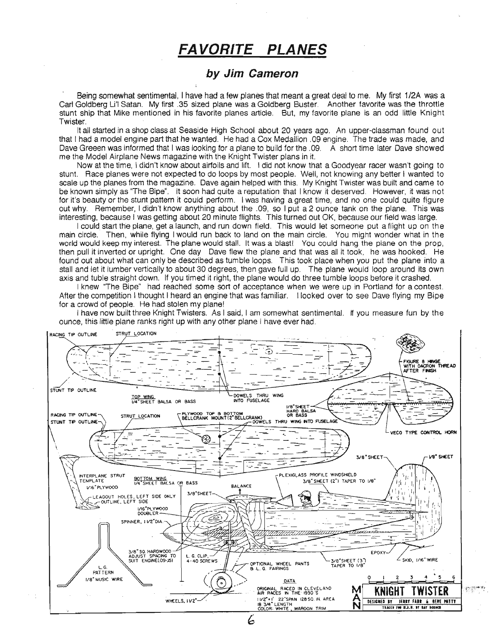## **FA VORITE PLANES**

### **by Jim Cameron**

Being somewhat sentimental, I have had a few planes that meant a great deal to me. My first 1/2A was a Carl Goldberg U'I Satan. My first .35 sized plane was a Goldberg Buster. Another favorite was the throttle stunt ship that Mike mentioned in his favorite planes article. But, my favorite plane is an odd little Knight Twister.

It all started in a shop class at Seaside High School about 20 years ago. An upper-classman found out that I had a model engine part that he wanted. He had a Cox Medallion .09 engine. The trade was made, and Dave Greeen was informed that I was looking for a plane to build for the .09. A short time later Dave showed me the Model Airplane News magazine with the Knight Twister plans in it.

Now at the time, I didn't know about airfoils and lift. I did not know that a Goodyear racer wasn't going to stunt. Race planes were not expected to do loops by most people. Well, not knowing any better I wanted to scale up the planes from the magazine. Dave again helped with this. My Knight Twister was built and came to be known simply as "The Sipe". It soon had quite a reputation that I know it deserved. However, it was not for it's beauty or the stunt pattern it could perform. I was having a great time, and no one could quite figure out why. Remember, I didn't know anything about the .09, so I put a 2 ounce tank on the plane. This was interesting, because I was getting about 20 minute flights. This turned out OK, because our field was large.

I could start the plane, get a launch, and run down field. This would let someone put a flight up on the main circle. Then, while flying I would run back to land on the main circle. You might wonder what in the world would keep my interest. The plane would stall. It was a blast! You could hang the plane on the prop, then pull it inverted or upright. One day Dave flew the plane and that was all it took, he was hooked. He found out about what can only be described as tumble loops. This took place when you put the plane into a stall and let it lumber vertically to about 30 degrees, then gave full up. The plane would loop around its own axis and tuble straight down. If you timed it right, the plane would do three tumble loops before it crashed.

I knew "The Bipe" had reached some sort of acceptance when we were up in Portland for a contest. After the competition I thought I heard an engine that was familiar. I looked over to see Dave flying my Bipe for a crowd of people. He had stolen my plane!

I have now built three Knight Twisters. As I said, I am somewhat sentimental. If you measure fun by the ounce, this little plane ranks right up with any other plane I have ever had.



6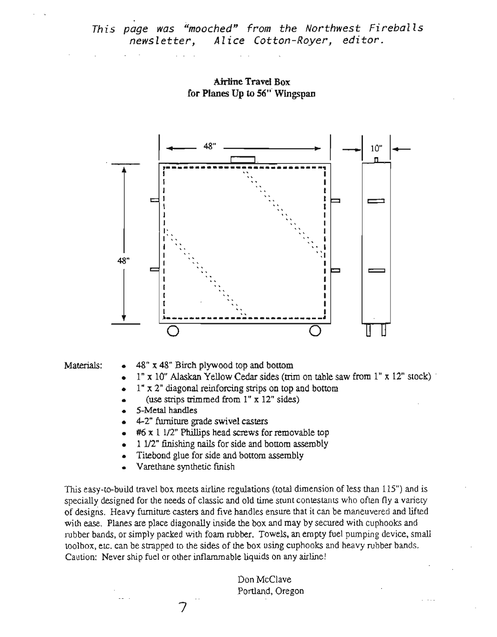Airline Travel Box for Planes Up to 56" Wingspan



- Materials:  $\bullet$  48" x 48" Birch plywood top and bottom
	- 1" x 10" Alaskan Yellow Cedar sides (trim on table saw from I" x 12" stock) .
	- $1" x 2"$  diagonal reinforcing strips on top and bottom
	- (use strips trimmed from  $1'' \times 12''$  sides)
	- 5-Metal handles
	- 4-2" furniture grade swivel casters
	- $#6 x 1 1/2"$  Phillips head screws for removable top
	- 1 1/2" finishing nails for side and bottom assembly
	- Titebond glue for side and bottom assembly
	- Varethane synthetic fmish

This easy-to-build travel box meets airline regulations (total dimension of less than 115") and is specially designed for the needs of classic and old time stunt contestants who often fly a variety of designs. Heavy furniture casters and five handles ensure that it can be maneuvered and lifted with ease. Planes are place diagonally inside the box and may by secured with cuphooks and rubber bands, or simply packed with foam rubber. Towels, an empty fuel pumping device, small toolbox, etc. can be strapped to the sides of the box using cuphooks and heavy rubber bands. Caution: Never ship fuel or other inflammable liquids on any airline!

> Don McClave Portland, Oregon

7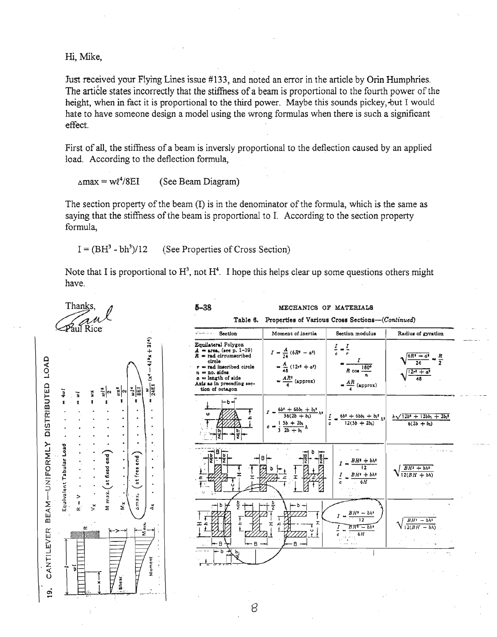Hi, Mike,

Just received your Flying Lines issue #133, and noted an error in the article by Orin Humphries. The article states incorrectly that the stiffness of a beam is proportional to the fourth power of the height, when in fact it is proportional to the third power. Maybe this sounds pickey, but I would hate to have someone design a model using the wrong formulas when there is such a significant effect.

First of all, the stiffness of a beam is inversly proportional to the deflection caused by an applied load. According to the deflection formula,

 $\Delta$ max = wl<sup>4</sup>/8EI (See Beam Diagram)

The section property of the beam (I) is in the denominator of the formula, which is the same as saying that the stiffness of the beam is proportional to I. According to the section property formula,

 $I = (BH<sup>3</sup> - bh<sup>3</sup>)/12$ (See Properties of Cross Section)

Note that I is proportional to  $H^3$ , not  $H^4$ . I hope this helps clear up some questions others might have.

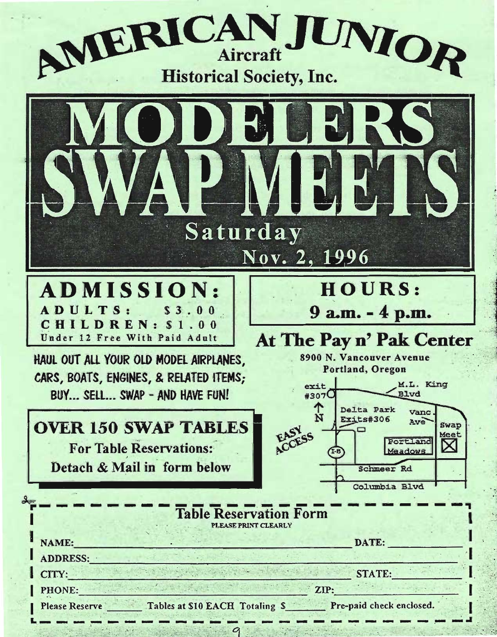



| ADDRESS:        |                                 |                          |
|-----------------|---------------------------------|--------------------------|
| CITY:<br>PHONE: |                                 | <b>STATE:</b><br>ZIP:    |
| Plages Recerve  | Tables at \$10 FACH Totaling \$ | Pre-paid check enclosed. |